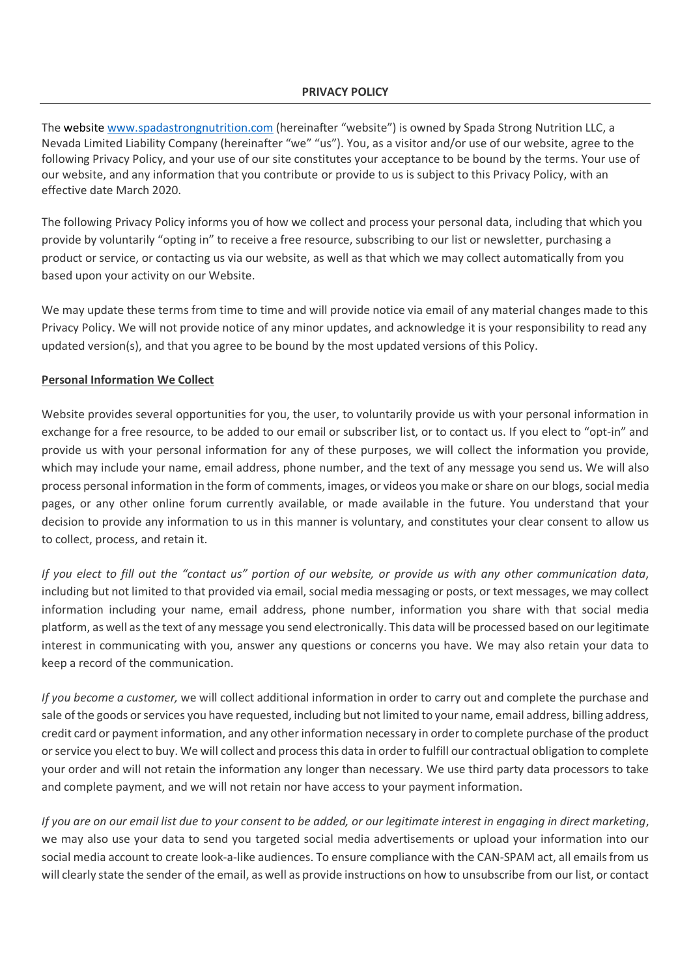### **PRIVACY POLICY**

The website www.spadastrongnutrition.com (hereinafter "website") is owned by Spada Strong Nutrition LLC, a Nevada Limited Liability Company (hereinafter "we" "us"). You, as a visitor and/or use of our website, agree to the following Privacy Policy, and your use of our site constitutes your acceptance to be bound by the terms. Your use of our website, and any information that you contribute or provide to us is subject to this Privacy Policy, with an effective date March 2020.

The following Privacy Policy informs you of how we collect and process your personal data, including that which you provide by voluntarily "opting in" to receive a free resource, subscribing to our list or newsletter, purchasing a product or service, or contacting us via our website, as well as that which we may collect automatically from you based upon your activity on our Website.

We may update these terms from time to time and will provide notice via email of any material changes made to this Privacy Policy. We will not provide notice of any minor updates, and acknowledge it is your responsibility to read any updated version(s), and that you agree to be bound by the most updated versions of this Policy.

### **Personal Information We Collect**

Website provides several opportunities for you, the user, to voluntarily provide us with your personal information in exchange for a free resource, to be added to our email or subscriber list, or to contact us. If you elect to "opt-in" and provide us with your personal information for any of these purposes, we will collect the information you provide, which may include your name, email address, phone number, and the text of any message you send us. We will also process personal information in the form of comments, images, or videos you make or share on our blogs, social media pages, or any other online forum currently available, or made available in the future. You understand that your decision to provide any information to us in this manner is voluntary, and constitutes your clear consent to allow us to collect, process, and retain it.

*If you elect to fill out the "contact us" portion of our website, or provide us with any other communication data*, including but not limited to that provided via email, social media messaging or posts, or text messages, we may collect information including your name, email address, phone number, information you share with that social media platform, as well as the text of any message you send electronically. This data will be processed based on our legitimate interest in communicating with you, answer any questions or concerns you have. We may also retain your data to keep a record of the communication.

*If you become a customer,* we will collect additional information in order to carry out and complete the purchase and sale of the goods or services you have requested, including but not limited to your name, email address, billing address, credit card or payment information, and any other information necessary in order to complete purchase of the product or service you elect to buy. We will collect and process this data in order to fulfill our contractual obligation to complete your order and will not retain the information any longer than necessary. We use third party data processors to take and complete payment, and we will not retain nor have access to your payment information.

*If you are on our email list due to your consent to be added, or our legitimate interest in engaging in direct marketing*, we may also use your data to send you targeted social media advertisements or upload your information into our social media account to create look-a-like audiences. To ensure compliance with the CAN-SPAM act, all emails from us will clearly state the sender of the email, as well as provide instructions on how to unsubscribe from our list, or contact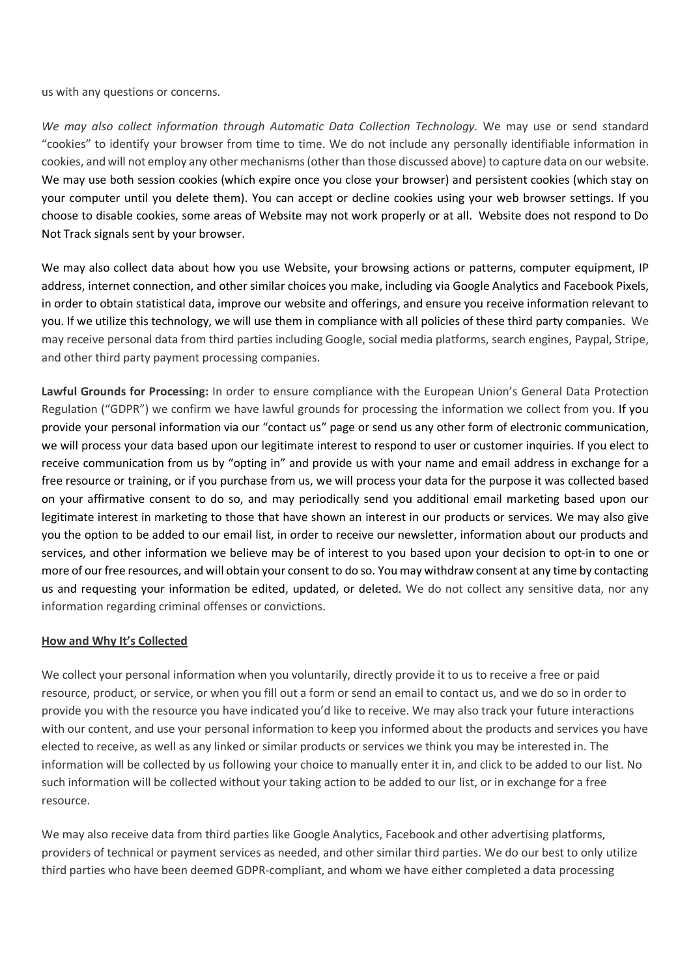us with any questions or concerns.

*We may also collect information through Automatic Data Collection Technology.* We may use or send standard "cookies" to identify your browser from time to time. We do not include any personally identifiable information in cookies, and will not employ any other mechanisms (other than those discussed above) to capture data on our website. We may use both session cookies (which expire once you close your browser) and persistent cookies (which stay on your computer until you delete them). You can accept or decline cookies using your web browser settings. If you choose to disable cookies, some areas of Website may not work properly or at all. Website does not respond to Do Not Track signals sent by your browser.

We may also collect data about how you use Website, your browsing actions or patterns, computer equipment, IP address, internet connection, and other similar choices you make, including via Google Analytics and Facebook Pixels, in order to obtain statistical data, improve our website and offerings, and ensure you receive information relevant to you. If we utilize this technology, we will use them in compliance with all policies of these third party companies. We may receive personal data from third parties including Google, social media platforms, search engines, Paypal, Stripe, and other third party payment processing companies.

**Lawful Grounds for Processing:** In order to ensure compliance with the European Union's General Data Protection Regulation ("GDPR") we confirm we have lawful grounds for processing the information we collect from you. If you provide your personal information via our "contact us" page or send us any other form of electronic communication, we will process your data based upon our legitimate interest to respond to user or customer inquiries. If you elect to receive communication from us by "opting in" and provide us with your name and email address in exchange for a free resource or training, or if you purchase from us, we will process your data for the purpose it was collected based on your affirmative consent to do so, and may periodically send you additional email marketing based upon our legitimate interest in marketing to those that have shown an interest in our products or services. We may also give you the option to be added to our email list, in order to receive our newsletter, information about our products and services, and other information we believe may be of interest to you based upon your decision to opt-in to one or more of our free resources, and will obtain your consent to do so. You may withdraw consent at any time by contacting us and requesting your information be edited, updated, or deleted. We do not collect any sensitive data, nor any information regarding criminal offenses or convictions.

### **How and Why It's Collected**

We collect your personal information when you voluntarily, directly provide it to us to receive a free or paid resource, product, or service, or when you fill out a form or send an email to contact us, and we do so in order to provide you with the resource you have indicated you'd like to receive. We may also track your future interactions with our content, and use your personal information to keep you informed about the products and services you have elected to receive, as well as any linked or similar products or services we think you may be interested in. The information will be collected by us following your choice to manually enter it in, and click to be added to our list. No such information will be collected without your taking action to be added to our list, or in exchange for a free resource.

We may also receive data from third parties like Google Analytics, Facebook and other advertising platforms, providers of technical or payment services as needed, and other similar third parties. We do our best to only utilize third parties who have been deemed GDPR-compliant, and whom we have either completed a data processing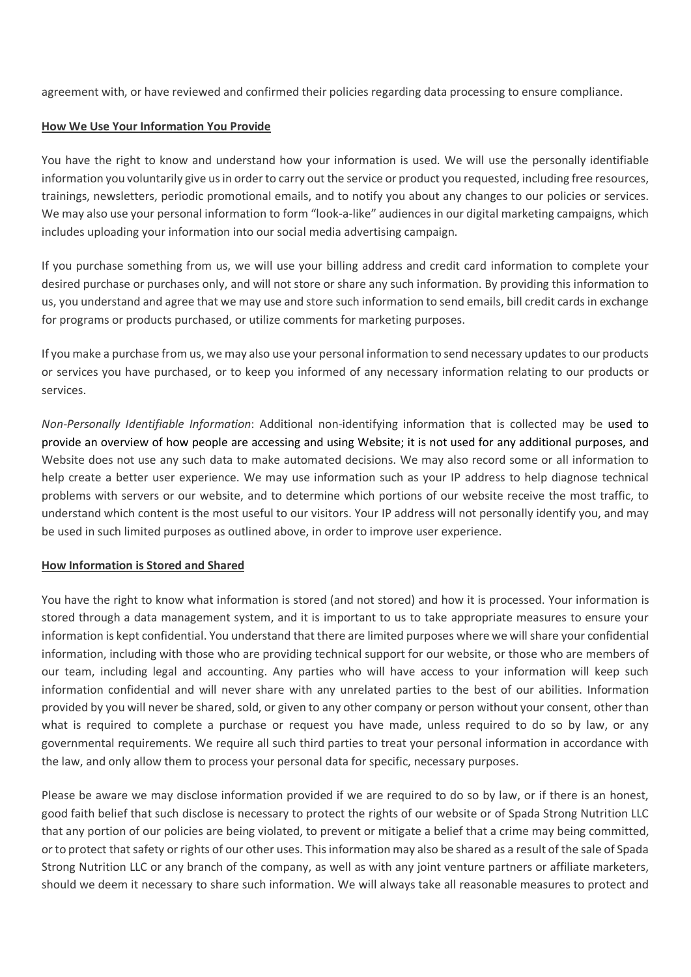agreement with, or have reviewed and confirmed their policies regarding data processing to ensure compliance.

### **How We Use Your Information You Provide**

You have the right to know and understand how your information is used. We will use the personally identifiable information you voluntarily give us in order to carry out the service or product you requested, including free resources, trainings, newsletters, periodic promotional emails, and to notify you about any changes to our policies or services. We may also use your personal information to form "look-a-like" audiences in our digital marketing campaigns, which includes uploading your information into our social media advertising campaign.

If you purchase something from us, we will use your billing address and credit card information to complete your desired purchase or purchases only, and will not store or share any such information. By providing this information to us, you understand and agree that we may use and store such information to send emails, bill credit cards in exchange for programs or products purchased, or utilize comments for marketing purposes.

If you make a purchase from us, we may also use your personal information to send necessary updates to our products or services you have purchased, or to keep you informed of any necessary information relating to our products or services.

*Non-Personally Identifiable Information*: Additional non-identifying information that is collected may be used to provide an overview of how people are accessing and using Website; it is not used for any additional purposes, and Website does not use any such data to make automated decisions. We may also record some or all information to help create a better user experience. We may use information such as your IP address to help diagnose technical problems with servers or our website, and to determine which portions of our website receive the most traffic, to understand which content is the most useful to our visitors. Your IP address will not personally identify you, and may be used in such limited purposes as outlined above, in order to improve user experience.

### **How Information is Stored and Shared**

You have the right to know what information is stored (and not stored) and how it is processed. Your information is stored through a data management system, and it is important to us to take appropriate measures to ensure your information is kept confidential. You understand that there are limited purposes where we will share your confidential information, including with those who are providing technical support for our website, or those who are members of our team, including legal and accounting. Any parties who will have access to your information will keep such information confidential and will never share with any unrelated parties to the best of our abilities. Information provided by you will never be shared, sold, or given to any other company or person without your consent, other than what is required to complete a purchase or request you have made, unless required to do so by law, or any governmental requirements. We require all such third parties to treat your personal information in accordance with the law, and only allow them to process your personal data for specific, necessary purposes.

Please be aware we may disclose information provided if we are required to do so by law, or if there is an honest, good faith belief that such disclose is necessary to protect the rights of our website or of Spada Strong Nutrition LLC that any portion of our policies are being violated, to prevent or mitigate a belief that a crime may being committed, or to protect that safety or rights of our other uses. This information may also be shared as a result of the sale of Spada Strong Nutrition LLC or any branch of the company, as well as with any joint venture partners or affiliate marketers, should we deem it necessary to share such information. We will always take all reasonable measures to protect and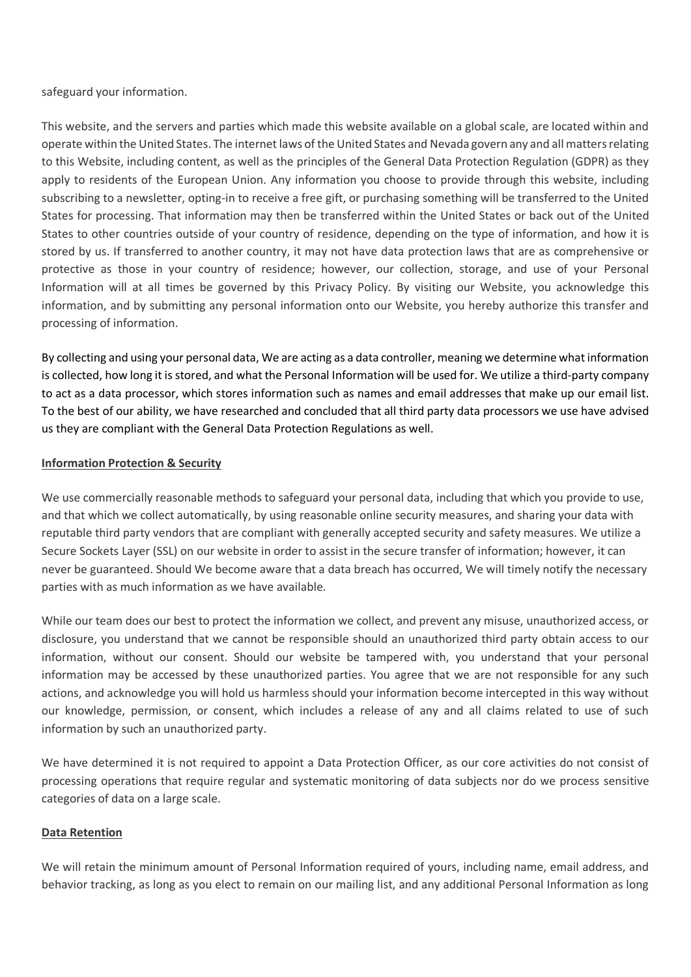safeguard your information.

This website, and the servers and parties which made this website available on a global scale, are located within and operate within the United States. The internet laws of the United States and Nevada govern any and all matters relating to this Website, including content, as well as the principles of the General Data Protection Regulation (GDPR) as they apply to residents of the European Union. Any information you choose to provide through this website, including subscribing to a newsletter, opting-in to receive a free gift, or purchasing something will be transferred to the United States for processing. That information may then be transferred within the United States or back out of the United States to other countries outside of your country of residence, depending on the type of information, and how it is stored by us. If transferred to another country, it may not have data protection laws that are as comprehensive or protective as those in your country of residence; however, our collection, storage, and use of your Personal Information will at all times be governed by this Privacy Policy. By visiting our Website, you acknowledge this information, and by submitting any personal information onto our Website, you hereby authorize this transfer and processing of information.

By collecting and using your personal data, We are acting as a data controller, meaning we determine what information is collected, how long it is stored, and what the Personal Information will be used for. We utilize a third-party company to act as a data processor, which stores information such as names and email addresses that make up our email list. To the best of our ability, we have researched and concluded that all third party data processors we use have advised us they are compliant with the General Data Protection Regulations as well.

## **Information Protection & Security**

We use commercially reasonable methods to safeguard your personal data, including that which you provide to use, and that which we collect automatically, by using reasonable online security measures, and sharing your data with reputable third party vendors that are compliant with generally accepted security and safety measures. We utilize a Secure Sockets Layer (SSL) on our website in order to assist in the secure transfer of information; however, it can never be guaranteed. Should We become aware that a data breach has occurred, We will timely notify the necessary parties with as much information as we have available.

While our team does our best to protect the information we collect, and prevent any misuse, unauthorized access, or disclosure, you understand that we cannot be responsible should an unauthorized third party obtain access to our information, without our consent. Should our website be tampered with, you understand that your personal information may be accessed by these unauthorized parties. You agree that we are not responsible for any such actions, and acknowledge you will hold us harmless should your information become intercepted in this way without our knowledge, permission, or consent, which includes a release of any and all claims related to use of such information by such an unauthorized party.

We have determined it is not required to appoint a Data Protection Officer, as our core activities do not consist of processing operations that require regular and systematic monitoring of data subjects nor do we process sensitive categories of data on a large scale.

## **Data Retention**

We will retain the minimum amount of Personal Information required of yours, including name, email address, and behavior tracking, as long as you elect to remain on our mailing list, and any additional Personal Information as long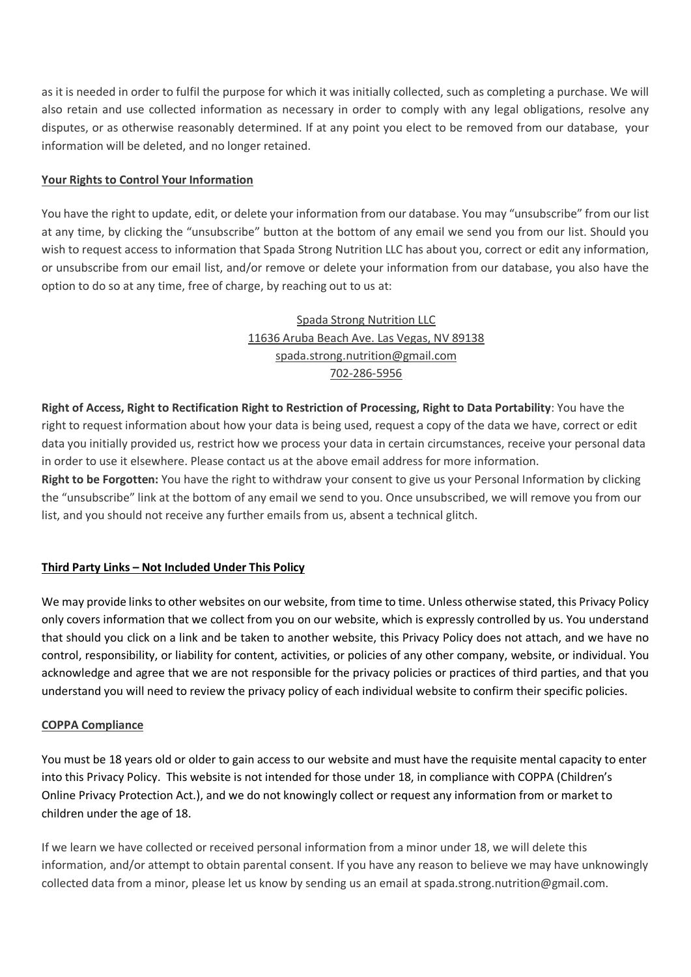as it is needed in order to fulfil the purpose for which it was initially collected, such as completing a purchase. We will also retain and use collected information as necessary in order to comply with any legal obligations, resolve any disputes, or as otherwise reasonably determined. If at any point you elect to be removed from our database, your information will be deleted, and no longer retained.

## **Your Rights to Control Your Information**

You have the right to update, edit, or delete your information from our database. You may "unsubscribe" from our list at any time, by clicking the "unsubscribe" button at the bottom of any email we send you from our list. Should you wish to request access to information that Spada Strong Nutrition LLC has about you, correct or edit any information, or unsubscribe from our email list, and/or remove or delete your information from our database, you also have the option to do so at any time, free of charge, by reaching out to us at:

# Spada Strong Nutrition LLC 11636 Aruba Beach Ave. Las Vegas, NV 89138 spada.strong.nutrition@gmail.com 702-286-5956

**Right of Access, Right to Rectification Right to Restriction of Processing, Right to Data Portability**: You have the right to request information about how your data is being used, request a copy of the data we have, correct or edit data you initially provided us, restrict how we process your data in certain circumstances, receive your personal data in order to use it elsewhere. Please contact us at the above email address for more information.

**Right to be Forgotten:** You have the right to withdraw your consent to give us your Personal Information by clicking the "unsubscribe" link at the bottom of any email we send to you. Once unsubscribed, we will remove you from our list, and you should not receive any further emails from us, absent a technical glitch.

## **Third Party Links – Not Included Under This Policy**

We may provide links to other websites on our website, from time to time. Unless otherwise stated, this Privacy Policy only covers information that we collect from you on our website, which is expressly controlled by us. You understand that should you click on a link and be taken to another website, this Privacy Policy does not attach, and we have no control, responsibility, or liability for content, activities, or policies of any other company, website, or individual. You acknowledge and agree that we are not responsible for the privacy policies or practices of third parties, and that you understand you will need to review the privacy policy of each individual website to confirm their specific policies.

## **COPPA Compliance**

You must be 18 years old or older to gain access to our website and must have the requisite mental capacity to enter into this Privacy Policy. This website is not intended for those under 18, in compliance with COPPA (Children's Online Privacy Protection Act.), and we do not knowingly collect or request any information from or market to children under the age of 18.

If we learn we have collected or received personal information from a minor under 18, we will delete this information, and/or attempt to obtain parental consent. If you have any reason to believe we may have unknowingly collected data from a minor, please let us know by sending us an email at spada.strong.nutrition@gmail.com.